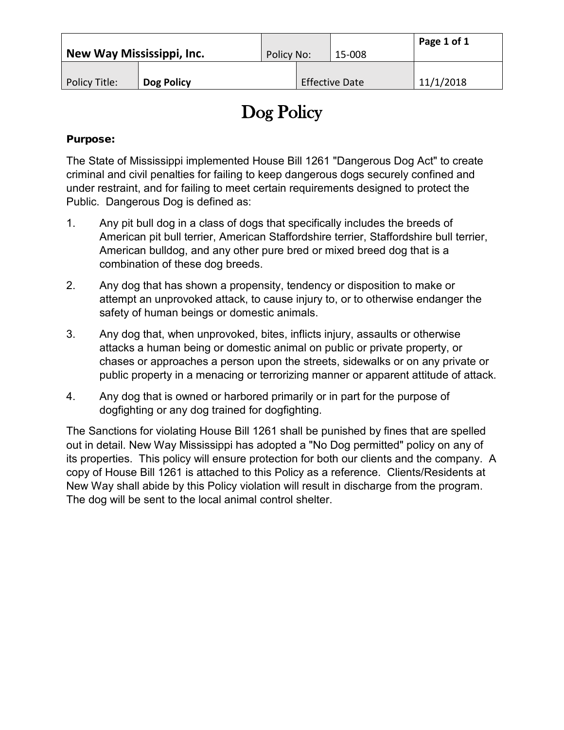| New Way Mississippi, Inc. |            | Policy No: | 15-008                | Page 1 of 1 |
|---------------------------|------------|------------|-----------------------|-------------|
| Policy Title:             | Dog Policy |            | <b>Effective Date</b> | 11/1/2018   |

## Dog Policy

## Purpose:

The State of Mississippi implemented House Bill 1261 "Dangerous Dog Act" to create criminal and civil penalties for failing to keep dangerous dogs securely confined and under restraint, and for failing to meet certain requirements designed to protect the Public. Dangerous Dog is defined as:

- 1. Any pit bull dog in a class of dogs that specifically includes the breeds of American pit bull terrier, American Staffordshire terrier, Staffordshire bull terrier, American bulldog, and any other pure bred or mixed breed dog that is a combination of these dog breeds.
- 2. Any dog that has shown a propensity, tendency or disposition to make or attempt an unprovoked attack, to cause injury to, or to otherwise endanger the safety of human beings or domestic animals.
- 3. Any dog that, when unprovoked, bites, inflicts injury, assaults or otherwise attacks a human being or domestic animal on public or private property, or chases or approaches a person upon the streets, sidewalks or on any private or public property in a menacing or terrorizing manner or apparent attitude of attack.
- 4. Any dog that is owned or harbored primarily or in part for the purpose of dogfighting or any dog trained for dogfighting.

The Sanctions for violating House Bill 1261 shall be punished by fines that are spelled out in detail. New Way Mississippi has adopted a "No Dog permitted" policy on any of its properties. This policy will ensure protection for both our clients and the company. A copy of House Bill 1261 is attached to this Policy as a reference. Clients/Residents at New Way shall abide by this Policy violation will result in discharge from the program. The dog will be sent to the local animal control shelter.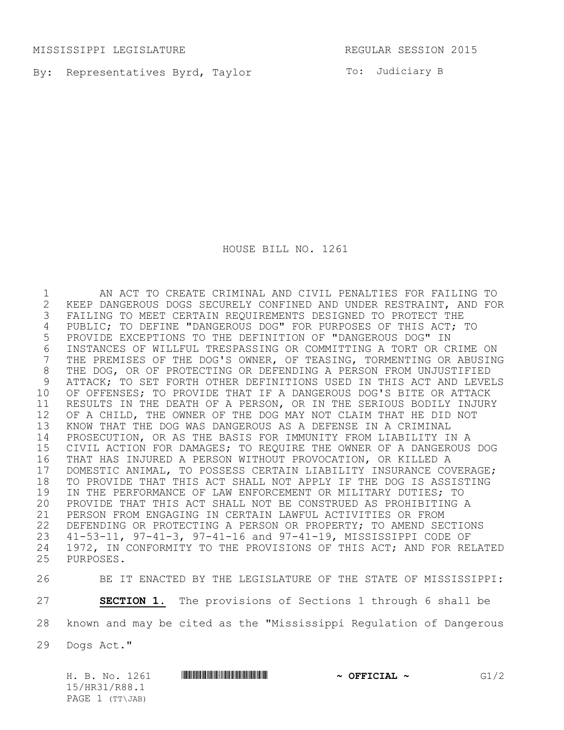MISSISSIPPI LEGISLATURE REGULAR SESSION 2015

By: Representatives Byrd, Taylor **Example 1988** To: Judiciary B

HOUSE BILL NO. 1261

1 AN ACT TO CREATE CRIMINAL AND CIVIL PENALTIES FOR FAILING TO 2 KEEP DANGEROUS DOGS SECURELY CONFINED AND UNDER RESTRAINT, AND FOR<br>3 FAILING TO MEET CERTAIN REQUIREMENTS DESIGNED TO PROTECT THE FAILING TO MEET CERTAIN REQUIREMENTS DESIGNED TO PROTECT THE 4 PUBLIC; TO DEFINE "DANGEROUS DOG" FOR PURPOSES OF THIS ACT; TO 5 PROVIDE EXCEPTIONS TO THE DEFINITION OF "DANGEROUS DOG" IN 6 INSTANCES OF WILLFUL TRESPASSING OR COMMITTING A TORT OR CRIME ON<br>7 THE PREMISES OF THE DOG'S OWNER, OF TEASING, TORMENTING OR ABUSING THE PREMISES OF THE DOG'S OWNER, OF TEASING, TORMENTING OR ABUSING 8 THE DOG, OR OF PROTECTING OR DEFENDING A PERSON FROM UNJUSTIFIED 9 ATTACK; TO SET FORTH OTHER DEFINITIONS USED IN THIS ACT AND LEVELS 10 OF OFFENSES; TO PROVIDE THAT IF A DANGEROUS DOG'S BITE OR ATTACK 11 RESULTS IN THE DEATH OF A PERSON, OR IN THE SERIOUS BODILY INJURY 12 OF A CHILD, THE OWNER OF THE DOG MAY NOT CLAIM THAT HE DID NOT 13 KNOW THAT THE DOG WAS DANGEROUS AS A DEFENSE IN A CRIMINAL 14 PROSECUTION, OR AS THE BASIS FOR IMMUNITY FROM LIABILITY IN A 15 CIVIL ACTION FOR DAMAGES; TO REQUIRE THE OWNER OF A DANGEROUS DOG 16 THAT HAS INJURED A PERSON WITHOUT PROVOCATION, OR KILLED A 17 DOMESTIC ANIMAL, TO POSSESS CERTAIN LIABILITY INSURANCE COVERAGE;<br>18 TO PROVIDE THAT THIS ACT SHALL NOT APPLY IF THE DOG IS ASSISTING 18 TO PROVIDE THAT THIS ACT SHALL NOT APPLY IF THE DOG IS ASSISTING<br>19 IN THE PERFORMANCE OF LAW ENFORCEMENT OR MILITARY DUTIES; TO 19 IN THE PERFORMANCE OF LAW ENFORCEMENT OR MILITARY DUTIES; TO<br>20 PROVIDE THAT THIS ACT SHALL NOT BE CONSTRUED AS PROHIBITING 2 PROVIDE THAT THIS ACT SHALL NOT BE CONSTRUED AS PROHIBITING A 21 PERSON FROM ENGAGING IN CERTAIN LAWFUL ACTIVITIES OR FROM 22 DEFENDING OR PROTECTING A PERSON OR PROPERTY; TO AMEND SECTIONS 23 41-53-11, 97-41-3, 97-41-16 and 97-41-19, MISSISSIPPI CODE OF 24 1972, IN CONFORMITY TO THE PROVISIONS OF THIS ACT; AND FOR RELATED PURPOSES. PURPOSES.

26 BE IT ENACTED BY THE LEGISLATURE OF THE STATE OF MISSISSIPPI:

27 **SECTION 1.** The provisions of Sections 1 through 6 shall be

28 known and may be cited as the "Mississippi Regulation of Dangerous

29 Dogs Act."

|  |                   | H. B. No. 1261 | $\sim$ OFFICIAL $\sim$ | G1/2 |
|--|-------------------|----------------|------------------------|------|
|  | 15/HR31/R88.1     |                |                        |      |
|  | PAGE $1$ (TT\JAB) |                |                        |      |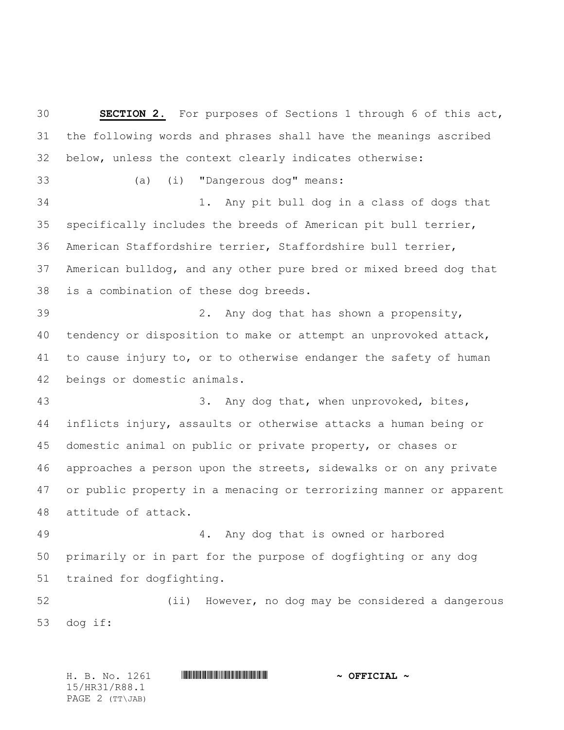**SECTION 2.** For purposes of Sections 1 through 6 of this act, the following words and phrases shall have the meanings ascribed below, unless the context clearly indicates otherwise: 33 (a) (i) "Dangerous dog" means: 34 1. Any pit bull dog in a class of dogs that specifically includes the breeds of American pit bull terrier, American Staffordshire terrier, Staffordshire bull terrier, American bulldog, and any other pure bred or mixed breed dog that is a combination of these dog breeds. 39 2. Any dog that has shown a propensity, tendency or disposition to make or attempt an unprovoked attack, to cause injury to, or to otherwise endanger the safety of human beings or domestic animals. 43 3. Any dog that, when unprovoked, bites, inflicts injury, assaults or otherwise attacks a human being or domestic animal on public or private property, or chases or approaches a person upon the streets, sidewalks or on any private or public property in a menacing or terrorizing manner or apparent attitude of attack. 49 4. Any dog that is owned or harbored primarily or in part for the purpose of dogfighting or any dog trained for dogfighting. 52 (ii) However, no dog may be considered a dangerous dog if:

H. B. No. 1261 \*HR31/R88.1\* **~ OFFICIAL ~** 15/HR31/R88.1 PAGE 2 (TT\JAB)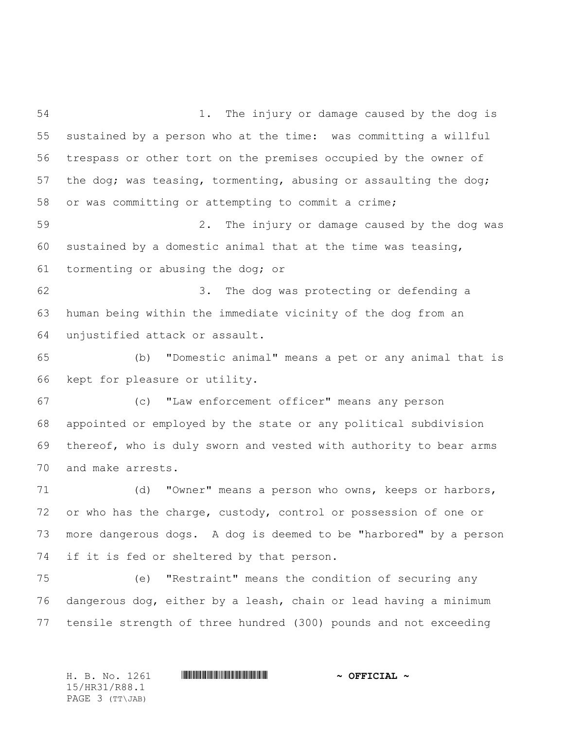54 1. The injury or damage caused by the dog is sustained by a person who at the time: was committing a willful trespass or other tort on the premises occupied by the owner of the dog; was teasing, tormenting, abusing or assaulting the dog; or was committing or attempting to commit a crime; 59 2. The injury or damage caused by the dog was sustained by a domestic animal that at the time was teasing, tormenting or abusing the dog; or 62 3. The dog was protecting or defending a human being within the immediate vicinity of the dog from an unjustified attack or assault. 65 (b) "Domestic animal" means a pet or any animal that is kept for pleasure or utility. 67 (c) "Law enforcement officer" means any person appointed or employed by the state or any political subdivision thereof, who is duly sworn and vested with authority to bear arms and make arrests. 71 (d) "Owner" means a person who owns, keeps or harbors, or who has the charge, custody, control or possession of one or more dangerous dogs. A dog is deemed to be "harbored" by a person if it is fed or sheltered by that person. 75 (e) "Restraint" means the condition of securing any dangerous dog, either by a leash, chain or lead having a minimum tensile strength of three hundred (300) pounds and not exceeding

H. B. No. 1261 \*HR31/R88.1\* **~ OFFICIAL ~** 15/HR31/R88.1 PAGE 3 (TT\JAB)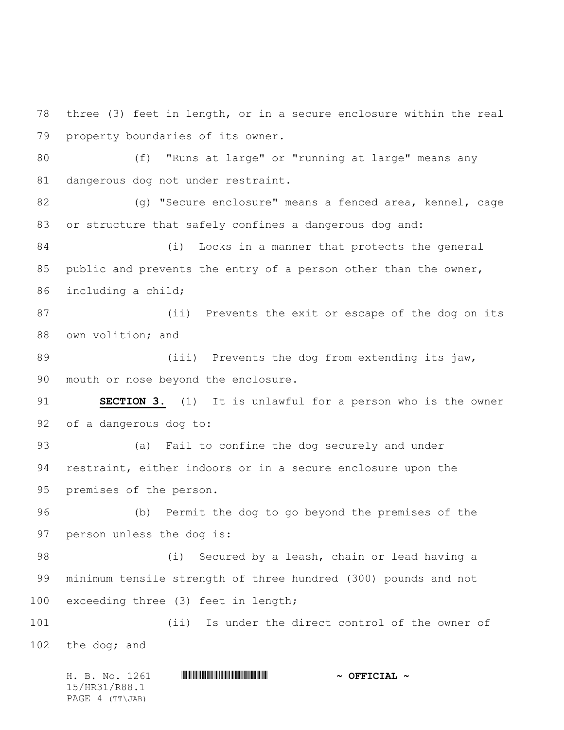78 three (3) feet in length, or in a secure enclosure within the real 79 property boundaries of its owner.

80 (f) "Runs at large" or "running at large" means any 81 dangerous dog not under restraint.

82 (g) "Secure enclosure" means a fenced area, kennel, cage 83 or structure that safely confines a dangerous dog and:

84 (i) Locks in a manner that protects the general 85 public and prevents the entry of a person other than the owner, 86 including a child;

87 (ii) Prevents the exit or escape of the dog on its 88 own volition; and

89 (iii) Prevents the dog from extending its jaw, 90 mouth or nose beyond the enclosure.

91 **SECTION 3.** (1) It is unlawful for a person who is the owner 92 of a dangerous dog to:

93 (a) Fail to confine the dog securely and under 94 restraint, either indoors or in a secure enclosure upon the 95 premises of the person.

96 (b) Permit the dog to go beyond the premises of the 97 person unless the dog is:

98 (i) Secured by a leash, chain or lead having a 99 minimum tensile strength of three hundred (300) pounds and not 100 exceeding three (3) feet in length;

101 (ii) Is under the direct control of the owner of 102 the dog; and

H. B. No. 1261 \*HR31/R88.1\* **~ OFFICIAL ~** 15/HR31/R88.1 PAGE 4 (TT\JAB)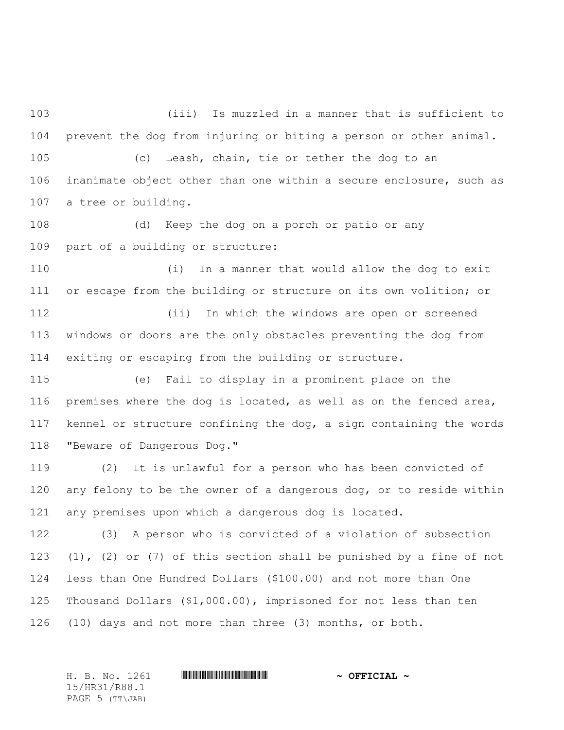103 (iii) Is muzzled in a manner that is sufficient to 104 prevent the dog from injuring or biting a person or other animal.

105 (c) Leash, chain, tie or tether the dog to an 106 inanimate object other than one within a secure enclosure, such as 107 a tree or building.

108 (d) Keep the dog on a porch or patio or any 109 part of a building or structure:

110 (i) In a manner that would allow the dog to exit 111 or escape from the building or structure on its own volition; or

112 (ii) In which the windows are open or screened 113 windows or doors are the only obstacles preventing the dog from 114 exiting or escaping from the building or structure.

115 (e) Fail to display in a prominent place on the premises where the dog is located, as well as on the fenced area, kennel or structure confining the dog, a sign containing the words "Beware of Dangerous Dog."

119 (2) It is unlawful for a person who has been convicted of 120 any felony to be the owner of a dangerous dog, or to reside within 121 any premises upon which a dangerous dog is located.

122 (3) A person who is convicted of a violation of subsection (1), (2) or (7) of this section shall be punished by a fine of not less than One Hundred Dollars (\$100.00) and not more than One Thousand Dollars (\$1,000.00), imprisoned for not less than ten (10) days and not more than three (3) months, or both.

15/HR31/R88.1 PAGE 5 (TT\JAB)

H. B. No. 1261 **. AND ARABATA REPORT IN STRAIGHT AND ARABATA STATE**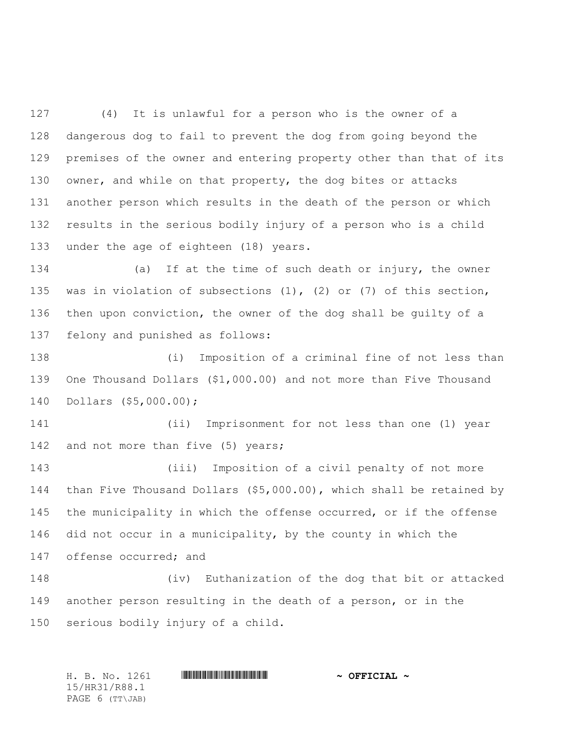127 (4) It is unlawful for a person who is the owner of a dangerous dog to fail to prevent the dog from going beyond the premises of the owner and entering property other than that of its 130 owner, and while on that property, the dog bites or attacks another person which results in the death of the person or which results in the serious bodily injury of a person who is a child under the age of eighteen (18) years.

134 (a) If at the time of such death or injury, the owner was in violation of subsections (1), (2) or (7) of this section, then upon conviction, the owner of the dog shall be guilty of a felony and punished as follows:

138 (i) Imposition of a criminal fine of not less than 139 One Thousand Dollars (\$1,000.00) and not more than Five Thousand 140 Dollars (\$5,000.00);

141 (ii) Imprisonment for not less than one (1) year 142 and not more than five (5) years;

143 (iii) Imposition of a civil penalty of not more 144 than Five Thousand Dollars (\$5,000.00), which shall be retained by 145 the municipality in which the offense occurred, or if the offense 146 did not occur in a municipality, by the county in which the 147 offense occurred; and

148 (iv) Euthanization of the dog that bit or attacked 149 another person resulting in the death of a person, or in the 150 serious bodily injury of a child.

H. B. No. 1261 **HRANGE READER AND A OFFICIAL ~** 15/HR31/R88.1 PAGE 6 (TT\JAB)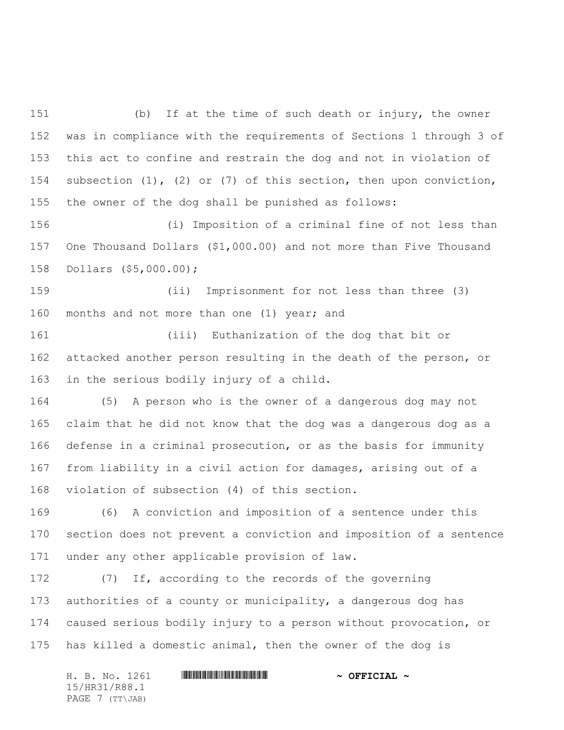151 (b) If at the time of such death or injury, the owner was in compliance with the requirements of Sections 1 through 3 of this act to confine and restrain the dog and not in violation of subsection (1), (2) or (7) of this section, then upon conviction, the owner of the dog shall be punished as follows:

156 (i) Imposition of a criminal fine of not less than One Thousand Dollars (\$1,000.00) and not more than Five Thousand Dollars (\$5,000.00);

159 (ii) Imprisonment for not less than three (3) months and not more than one (1) year; and

161 (iii) Euthanization of the dog that bit or attacked another person resulting in the death of the person, or in the serious bodily injury of a child.

164 (5) A person who is the owner of a dangerous dog may not claim that he did not know that the dog was a dangerous dog as a defense in a criminal prosecution, or as the basis for immunity from liability in a civil action for damages, arising out of a violation of subsection (4) of this section.

169 (6) A conviction and imposition of a sentence under this section does not prevent a conviction and imposition of a sentence under any other applicable provision of law.

172 (7) If, according to the records of the governing authorities of a county or municipality, a dangerous dog has caused serious bodily injury to a person without provocation, or has killed a domestic animal, then the owner of the dog is

| H. B. No. 1261  | $\sim$ OFFICIAL $\sim$ |
|-----------------|------------------------|
| 15/HR31/R88.1   |                        |
| PAGE 7 (TT\JAB) |                        |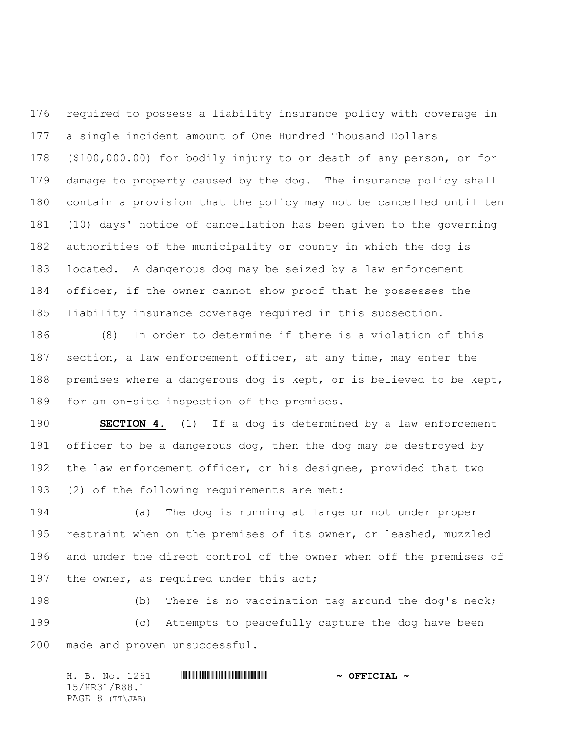required to possess a liability insurance policy with coverage in a single incident amount of One Hundred Thousand Dollars (\$100,000.00) for bodily injury to or death of any person, or for damage to property caused by the dog. The insurance policy shall contain a provision that the policy may not be cancelled until ten (10) days' notice of cancellation has been given to the governing authorities of the municipality or county in which the dog is located. A dangerous dog may be seized by a law enforcement officer, if the owner cannot show proof that he possesses the liability insurance coverage required in this subsection.

186 (8) In order to determine if there is a violation of this section, a law enforcement officer, at any time, may enter the premises where a dangerous dog is kept, or is believed to be kept, for an on-site inspection of the premises.

 **SECTION 4.** (1) If a dog is determined by a law enforcement 191 officer to be a dangerous dog, then the dog may be destroyed by the law enforcement officer, or his designee, provided that two (2) of the following requirements are met:

194 (a) The dog is running at large or not under proper restraint when on the premises of its owner, or leashed, muzzled and under the direct control of the owner when off the premises of 197 the owner, as required under this act;

198 (b) There is no vaccination tag around the dog's neck; 199 (c) Attempts to peacefully capture the dog have been made and proven unsuccessful.

| H. B. No. 1261  | $\sim$ OFFICIAL $\sim$ |
|-----------------|------------------------|
| 15/HR31/R88.1   |                        |
| PAGE 8 (TT\JAB) |                        |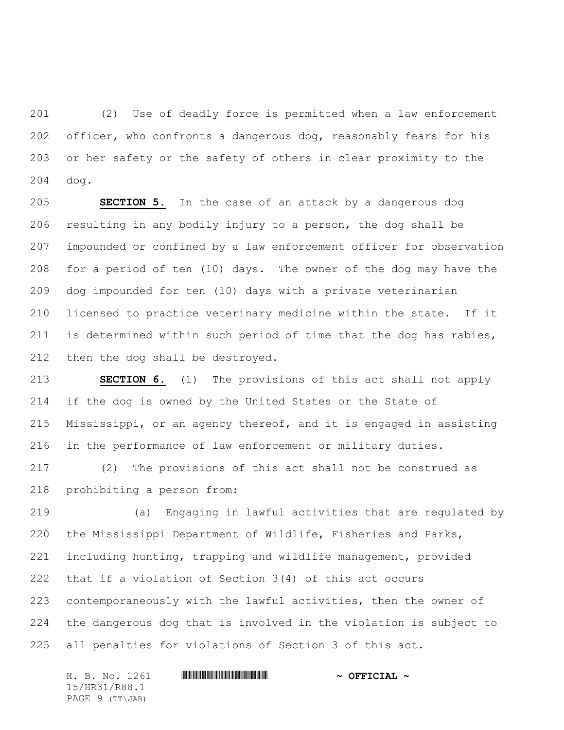201 (2) Use of deadly force is permitted when a law enforcement 202 officer, who confronts a dangerous dog, reasonably fears for his or her safety or the safety of others in clear proximity to the dog.

 **SECTION 5.** In the case of an attack by a dangerous dog resulting in any bodily injury to a person, the dog shall be impounded or confined by a law enforcement officer for observation for a period of ten (10) days. The owner of the dog may have the dog impounded for ten (10) days with a private veterinarian licensed to practice veterinary medicine within the state. If it is determined within such period of time that the dog has rabies, then the dog shall be destroyed.

 **SECTION 6.** (1) The provisions of this act shall not apply if the dog is owned by the United States or the State of Mississippi, or an agency thereof, and it is engaged in assisting in the performance of law enforcement or military duties.

217 (2) The provisions of this act shall not be construed as prohibiting a person from:

219 (a) Engaging in lawful activities that are regulated by the Mississippi Department of Wildlife, Fisheries and Parks, including hunting, trapping and wildlife management, provided that if a violation of Section 3(4) of this act occurs contemporaneously with the lawful activities, then the owner of the dangerous dog that is involved in the violation is subject to all penalties for violations of Section 3 of this act.

H. B. No. 1261 **HRANGE READER AND A OFFICIAL ~** 15/HR31/R88.1 PAGE 9 (TT\JAB)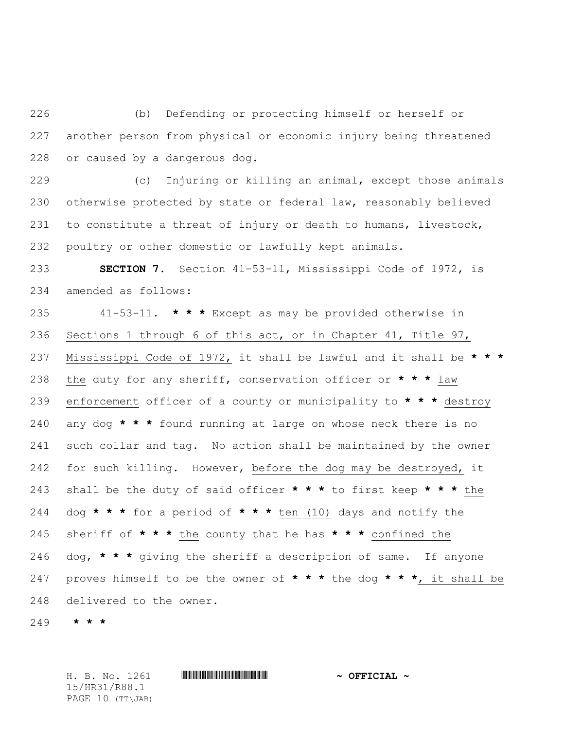226 (b) Defending or protecting himself or herself or another person from physical or economic injury being threatened or caused by a dangerous dog.

229 (c) Injuring or killing an animal, except those animals otherwise protected by state or federal law, reasonably believed to constitute a threat of injury or death to humans, livestock, poultry or other domestic or lawfully kept animals.

 **SECTION 7.** Section 41-53-11, Mississippi Code of 1972, is amended as follows:

235 41-53-11. **\* \* \*** Except as may be provided otherwise in Sections 1 through 6 of this act, or in Chapter 41, Title 97, Mississippi Code of 1972, it shall be lawful and it shall be **\* \* \*** the duty for any sheriff, conservation officer or **\* \* \*** law enforcement officer of a county or municipality to **\* \* \*** destroy any dog **\* \* \*** found running at large on whose neck there is no such collar and tag. No action shall be maintained by the owner 242 for such killing. However, before the dog may be destroyed, it shall be the duty of said officer **\* \* \*** to first keep **\* \* \*** the dog **\* \* \*** for a period of **\* \* \*** ten (10) days and notify the sheriff of **\* \* \*** the county that he has **\* \* \*** confined the dog, **\* \* \*** giving the sheriff a description of same. If anyone proves himself to be the owner of **\* \* \*** the dog **\* \* \***, it shall be delivered to the owner.

**\* \* \***

15/HR31/R88.1 PAGE 10 (TT\JAB)

H. B. No. 1261 **HRANGE READER AND A OFFICIAL ~**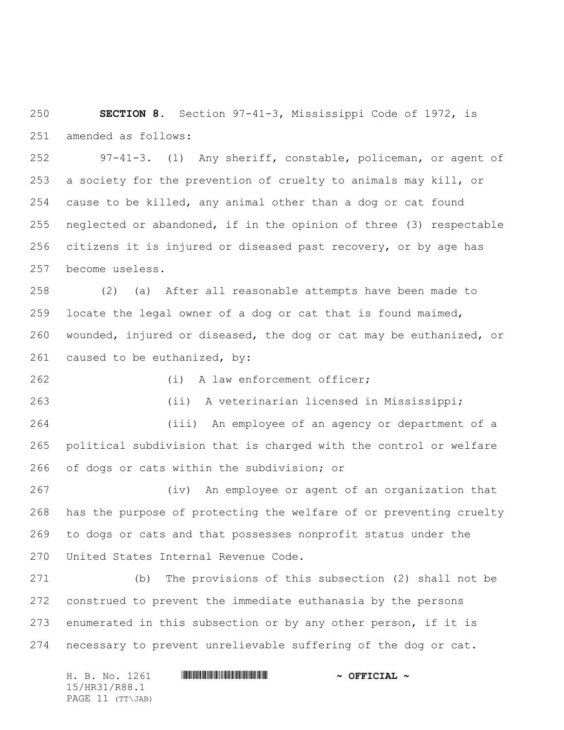**SECTION 8.** Section 97-41-3, Mississippi Code of 1972, is amended as follows:

252 97-41-3. (1) Any sheriff, constable, policeman, or agent of a society for the prevention of cruelty to animals may kill, or cause to be killed, any animal other than a dog or cat found neglected or abandoned, if in the opinion of three (3) respectable citizens it is injured or diseased past recovery, or by age has become useless.

258 (2) (a) After all reasonable attempts have been made to locate the legal owner of a dog or cat that is found maimed, wounded, injured or diseased, the dog or cat may be euthanized, or caused to be euthanized, by:

262 (i) A law enforcement officer;

263 (ii) A veterinarian licensed in Mississippi;

264 (iii) An employee of an agency or department of a political subdivision that is charged with the control or welfare of dogs or cats within the subdivision; or

267 (iv) An employee or agent of an organization that has the purpose of protecting the welfare of or preventing cruelty to dogs or cats and that possesses nonprofit status under the United States Internal Revenue Code.

271 (b) The provisions of this subsection (2) shall not be construed to prevent the immediate euthanasia by the persons enumerated in this subsection or by any other person, if it is necessary to prevent unrelievable suffering of the dog or cat.

H. B. No. 1261 \*HR31/R88.1\* **~ OFFICIAL ~** 15/HR31/R88.1 PAGE 11 (TT\JAB)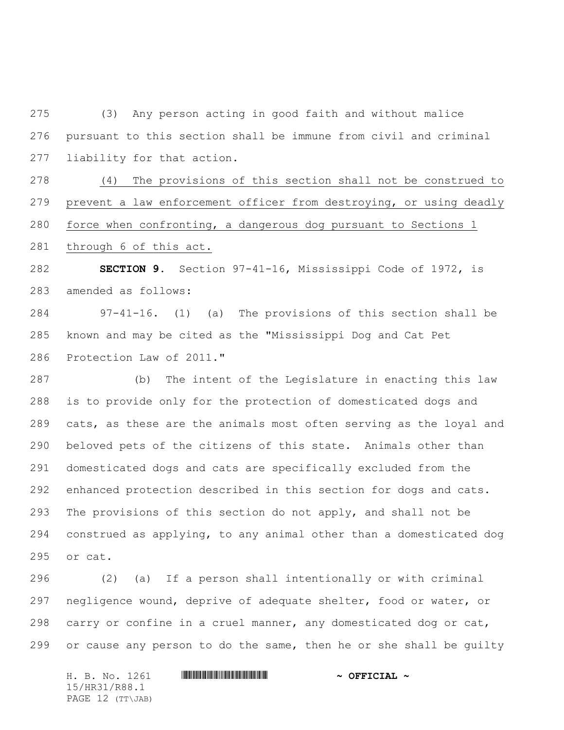275 (3) Any person acting in good faith and without malice pursuant to this section shall be immune from civil and criminal liability for that action.

278 (4) The provisions of this section shall not be construed to prevent a law enforcement officer from destroying, or using deadly force when confronting, a dangerous dog pursuant to Sections 1

through 6 of this act.

 **SECTION 9.** Section 97-41-16, Mississippi Code of 1972, is amended as follows:

284 97-41-16. (1) (a) The provisions of this section shall be known and may be cited as the "Mississippi Dog and Cat Pet Protection Law of 2011."

287 (b) The intent of the Legislature in enacting this law is to provide only for the protection of domesticated dogs and cats, as these are the animals most often serving as the loyal and beloved pets of the citizens of this state. Animals other than domesticated dogs and cats are specifically excluded from the enhanced protection described in this section for dogs and cats. The provisions of this section do not apply, and shall not be construed as applying, to any animal other than a domesticated dog or cat.

296 (2) (a) If a person shall intentionally or with criminal negligence wound, deprive of adequate shelter, food or water, or carry or confine in a cruel manner, any domesticated dog or cat, 299 or cause any person to do the same, then he or she shall be guilty

H. B. No. 1261 \*HR31/R88.1\* **~ OFFICIAL ~** 15/HR31/R88.1 PAGE 12 (TT\JAB)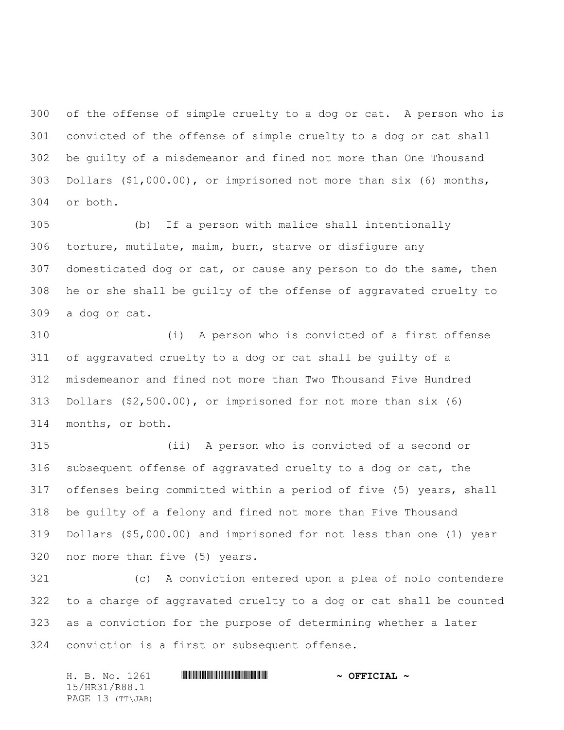of the offense of simple cruelty to a dog or cat. A person who is convicted of the offense of simple cruelty to a dog or cat shall be guilty of a misdemeanor and fined not more than One Thousand Dollars (\$1,000.00), or imprisoned not more than six (6) months, or both.

 (b) If a person with malice shall intentionally torture, mutilate, maim, burn, starve or disfigure any domesticated dog or cat, or cause any person to do the same, then he or she shall be guilty of the offense of aggravated cruelty to a dog or cat.

310 (i) A person who is convicted of a first offense of aggravated cruelty to a dog or cat shall be guilty of a misdemeanor and fined not more than Two Thousand Five Hundred Dollars (\$2,500.00), or imprisoned for not more than six (6) months, or both.

315 (ii) A person who is convicted of a second or subsequent offense of aggravated cruelty to a dog or cat, the offenses being committed within a period of five (5) years, shall be guilty of a felony and fined not more than Five Thousand Dollars (\$5,000.00) and imprisoned for not less than one (1) year nor more than five (5) years.

 (c) A conviction entered upon a plea of nolo contendere to a charge of aggravated cruelty to a dog or cat shall be counted as a conviction for the purpose of determining whether a later conviction is a first or subsequent offense.

H. B. No. 1261 \*HR31/R88.1\* **~ OFFICIAL ~** 15/HR31/R88.1 PAGE 13 (TT\JAB)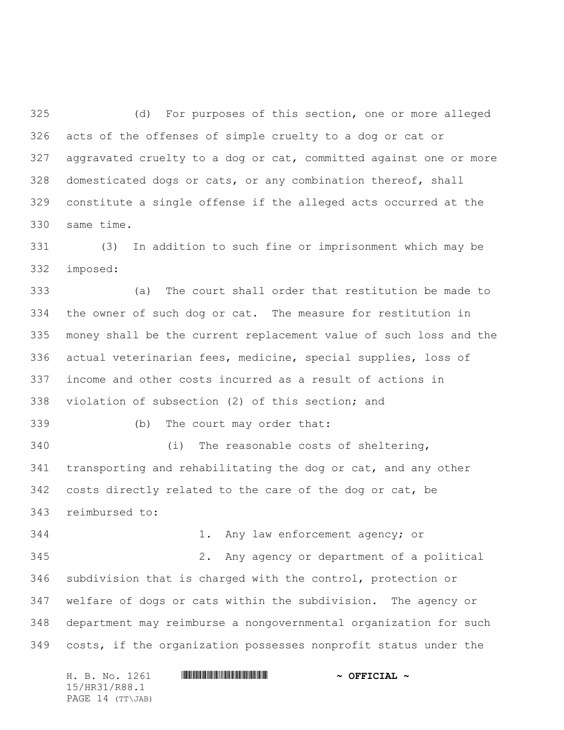(d) For purposes of this section, one or more alleged acts of the offenses of simple cruelty to a dog or cat or aggravated cruelty to a dog or cat, committed against one or more domesticated dogs or cats, or any combination thereof, shall constitute a single offense if the alleged acts occurred at the same time.

331 (3) In addition to such fine or imprisonment which may be imposed:

333 (a) The court shall order that restitution be made to the owner of such dog or cat. The measure for restitution in money shall be the current replacement value of such loss and the actual veterinarian fees, medicine, special supplies, loss of income and other costs incurred as a result of actions in violation of subsection (2) of this section; and

339 (b) The court may order that:

340 (i) The reasonable costs of sheltering, transporting and rehabilitating the dog or cat, and any other costs directly related to the care of the dog or cat, be reimbursed to:

344 1. Any law enforcement agency; or 345 2. Any agency or department of a political subdivision that is charged with the control, protection or welfare of dogs or cats within the subdivision. The agency or department may reimburse a nongovernmental organization for such costs, if the organization possesses nonprofit status under the

H. B. No. 1261 **HRANGE READER AND A OFFICIAL ~** 15/HR31/R88.1 PAGE 14 (TT\JAB)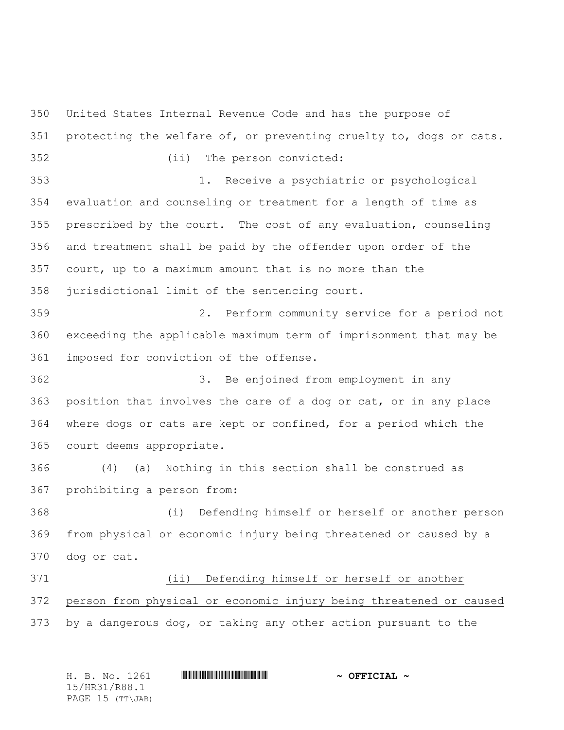United States Internal Revenue Code and has the purpose of protecting the welfare of, or preventing cruelty to, dogs or cats. 352 (ii) The person convicted: 353 1. Receive a psychiatric or psychological evaluation and counseling or treatment for a length of time as prescribed by the court. The cost of any evaluation, counseling and treatment shall be paid by the offender upon order of the court, up to a maximum amount that is no more than the jurisdictional limit of the sentencing court. 359 2. Perform community service for a period not exceeding the applicable maximum term of imprisonment that may be imposed for conviction of the offense. 362 3. Be enjoined from employment in any position that involves the care of a dog or cat, or in any place where dogs or cats are kept or confined, for a period which the court deems appropriate. 366 (4) (a) Nothing in this section shall be construed as prohibiting a person from: 368 (i) Defending himself or herself or another person from physical or economic injury being threatened or caused by a dog or cat. 371 (ii) Defending himself or herself or another person from physical or economic injury being threatened or caused by a dangerous dog, or taking any other action pursuant to the

| H. B. No. 1261   | $\sim$ OFFICIAL $\sim$ |  |
|------------------|------------------------|--|
| 15/HR31/R88.1    |                        |  |
| PAGE 15 (TT\JAB) |                        |  |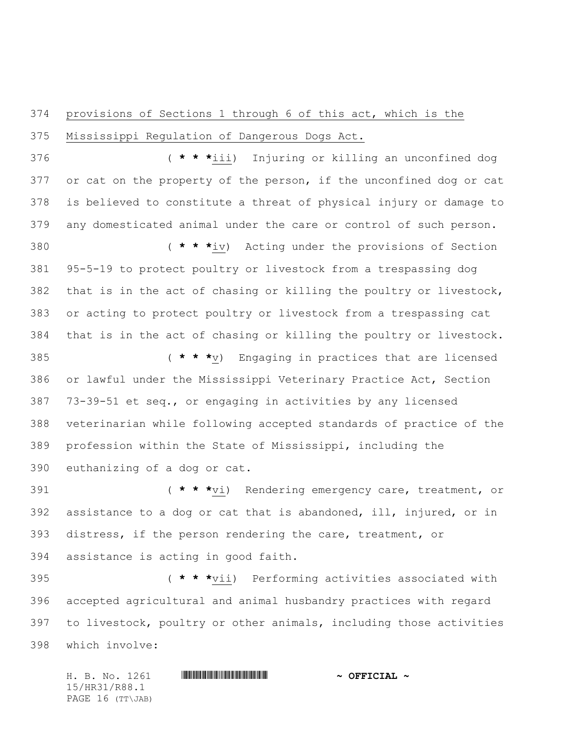## provisions of Sections 1 through 6 of this act, which is the Mississippi Regulation of Dangerous Dogs Act.

376 ( **\* \* \***iii) Injuring or killing an unconfined dog 377 or cat on the property of the person, if the unconfined dog or cat is believed to constitute a threat of physical injury or damage to any domesticated animal under the care or control of such person.

380 ( **\* \* \***iv) Acting under the provisions of Section 95-5-19 to protect poultry or livestock from a trespassing dog that is in the act of chasing or killing the poultry or livestock, or acting to protect poultry or livestock from a trespassing cat that is in the act of chasing or killing the poultry or livestock.

385 ( **\* \* \***v) Engaging in practices that are licensed or lawful under the Mississippi Veterinary Practice Act, Section 73-39-51 et seq., or engaging in activities by any licensed veterinarian while following accepted standards of practice of the profession within the State of Mississippi, including the euthanizing of a dog or cat.

391 ( **\* \* \***vi) Rendering emergency care, treatment, or assistance to a dog or cat that is abandoned, ill, injured, or in distress, if the person rendering the care, treatment, or assistance is acting in good faith.

395 ( **\* \* \***vii) Performing activities associated with accepted agricultural and animal husbandry practices with regard to livestock, poultry or other animals, including those activities which involve:

H. B. No. 1261 \*HR31/R88.1\* **~ OFFICIAL ~** 15/HR31/R88.1 PAGE 16 (TT\JAB)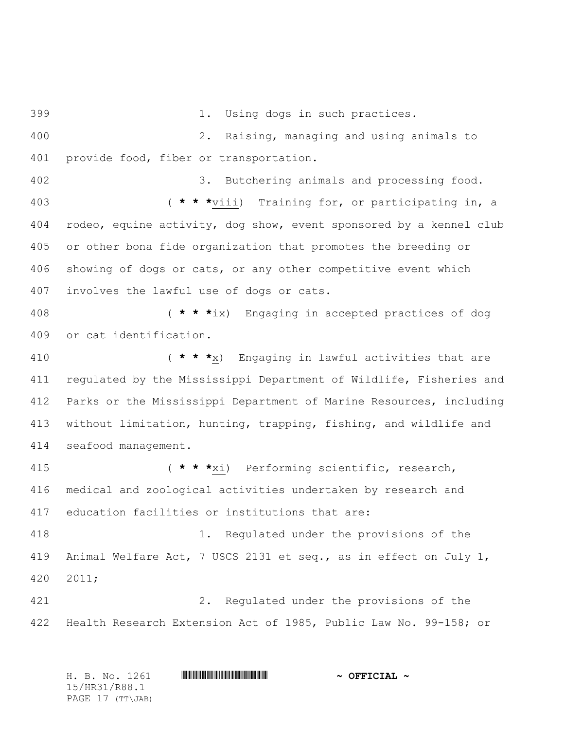399 1. Using dogs in such practices. 400 2. Raising, managing and using animals to 401 provide food, fiber or transportation. 402 3. Butchering animals and processing food. 403 ( **\* \* \***viii) Training for, or participating in, a 404 rodeo, equine activity, dog show, event sponsored by a kennel club 405 or other bona fide organization that promotes the breeding or 406 showing of dogs or cats, or any other competitive event which 407 involves the lawful use of dogs or cats. 408 ( **\* \* \***ix) Engaging in accepted practices of dog 409 or cat identification. 410 ( **\* \* \***x) Engaging in lawful activities that are 411 regulated by the Mississippi Department of Wildlife, Fisheries and 412 Parks or the Mississippi Department of Marine Resources, including 413 without limitation, hunting, trapping, fishing, and wildlife and 414 seafood management. 415 ( **\* \* \***xi) Performing scientific, research, 416 medical and zoological activities undertaken by research and 417 education facilities or institutions that are: 418 1. Regulated under the provisions of the 419 Animal Welfare Act, 7 USCS 2131 et seq., as in effect on July 1, 420 2011; 421 2. Regulated under the provisions of the 422 Health Research Extension Act of 1985, Public Law No. 99-158; or

| H. B. No. 1261   | $\sim$ OFFICIAL $\sim$ |
|------------------|------------------------|
| 15/HR31/R88.1    |                        |
| PAGE 17 (TT\JAB) |                        |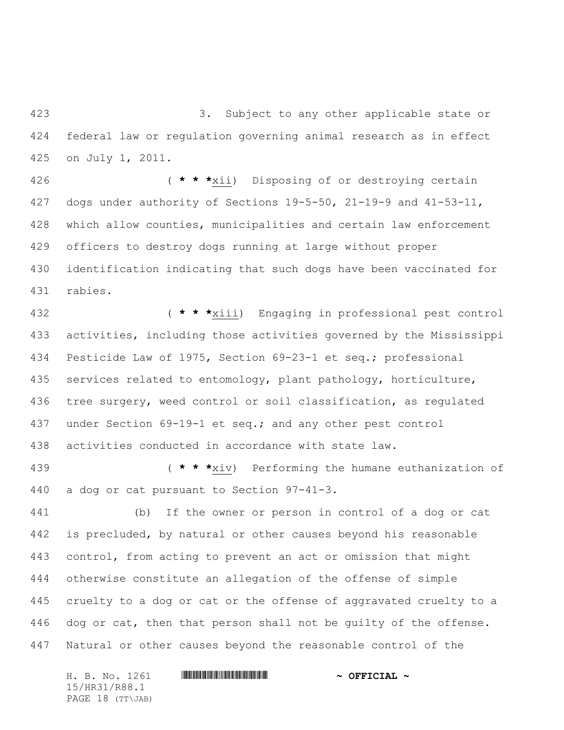423 3. Subject to any other applicable state or federal law or regulation governing animal research as in effect on July 1, 2011.

426 ( **\* \* \***xii) Disposing of or destroying certain dogs under authority of Sections 19-5-50, 21-19-9 and 41-53-11, which allow counties, municipalities and certain law enforcement officers to destroy dogs running at large without proper identification indicating that such dogs have been vaccinated for rabies.

432 ( **\* \* \***xiii) Engaging in professional pest control activities, including those activities governed by the Mississippi Pesticide Law of 1975, Section 69-23-1 et seq.; professional services related to entomology, plant pathology, horticulture, tree surgery, weed control or soil classification, as regulated under Section 69-19-1 et seq.; and any other pest control activities conducted in accordance with state law.

439 ( **\* \* \***xiv) Performing the humane euthanization of a dog or cat pursuant to Section 97-41-3.

441 (b) If the owner or person in control of a dog or cat is precluded, by natural or other causes beyond his reasonable control, from acting to prevent an act or omission that might otherwise constitute an allegation of the offense of simple cruelty to a dog or cat or the offense of aggravated cruelty to a 446 dog or cat, then that person shall not be guilty of the offense. Natural or other causes beyond the reasonable control of the

H. B. No. 1261 **. AND AND AN ABLE AND ARRITAL A** 15/HR31/R88.1 PAGE 18 (TT\JAB)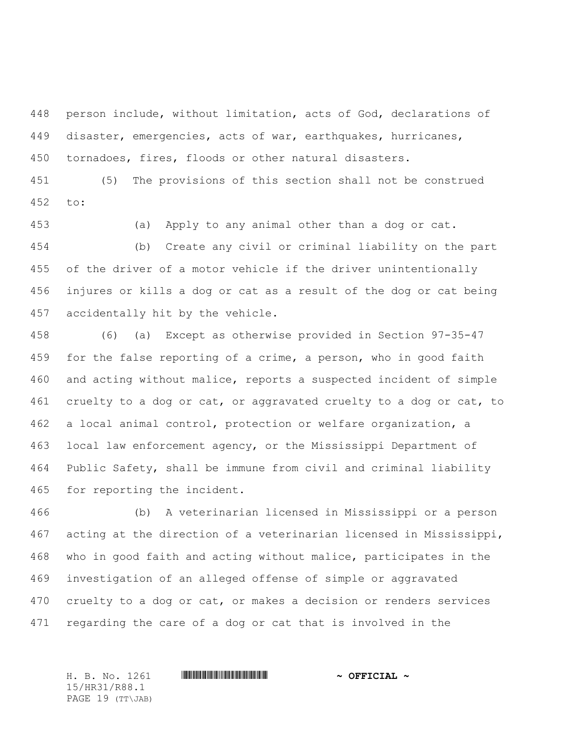person include, without limitation, acts of God, declarations of disaster, emergencies, acts of war, earthquakes, hurricanes, tornadoes, fires, floods or other natural disasters.

451 (5) The provisions of this section shall not be construed to:

453 (a) Apply to any animal other than a dog or cat. 454 (b) Create any civil or criminal liability on the part of the driver of a motor vehicle if the driver unintentionally injures or kills a dog or cat as a result of the dog or cat being accidentally hit by the vehicle.

458 (6) (a) Except as otherwise provided in Section 97-35-47 459 for the false reporting of a crime, a person, who in good faith and acting without malice, reports a suspected incident of simple cruelty to a dog or cat, or aggravated cruelty to a dog or cat, to a local animal control, protection or welfare organization, a local law enforcement agency, or the Mississippi Department of Public Safety, shall be immune from civil and criminal liability for reporting the incident.

466 (b) A veterinarian licensed in Mississippi or a person acting at the direction of a veterinarian licensed in Mississippi, who in good faith and acting without malice, participates in the investigation of an alleged offense of simple or aggravated cruelty to a dog or cat, or makes a decision or renders services regarding the care of a dog or cat that is involved in the

H. B. No. 1261 **. AND ARABATA REPORT IN STRAIGHT AND ARABATA STATE** 15/HR31/R88.1 PAGE 19 (TT\JAB)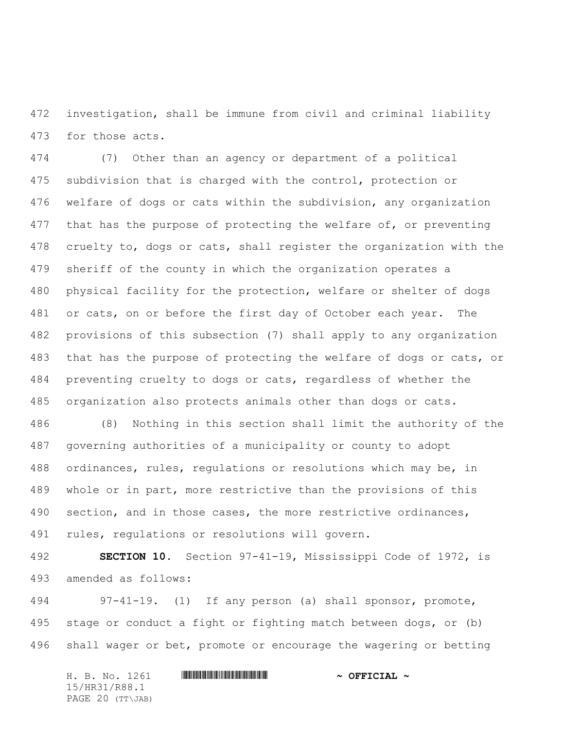investigation, shall be immune from civil and criminal liability for those acts.

474 (7) Other than an agency or department of a political subdivision that is charged with the control, protection or welfare of dogs or cats within the subdivision, any organization 477 that has the purpose of protecting the welfare of, or preventing cruelty to, dogs or cats, shall register the organization with the sheriff of the county in which the organization operates a physical facility for the protection, welfare or shelter of dogs or cats, on or before the first day of October each year. The provisions of this subsection (7) shall apply to any organization that has the purpose of protecting the welfare of dogs or cats, or preventing cruelty to dogs or cats, regardless of whether the organization also protects animals other than dogs or cats.

486 (8) Nothing in this section shall limit the authority of the governing authorities of a municipality or county to adopt ordinances, rules, regulations or resolutions which may be, in whole or in part, more restrictive than the provisions of this section, and in those cases, the more restrictive ordinances, rules, regulations or resolutions will govern.

 **SECTION 10.** Section 97-41-19, Mississippi Code of 1972, is amended as follows:

494 97-41-19. (1) If any person (a) shall sponsor, promote, stage or conduct a fight or fighting match between dogs, or (b) shall wager or bet, promote or encourage the wagering or betting

H. B. No. 1261 **HRANGE READER AND A OFFICIAL ~** 15/HR31/R88.1 PAGE 20 (TT\JAB)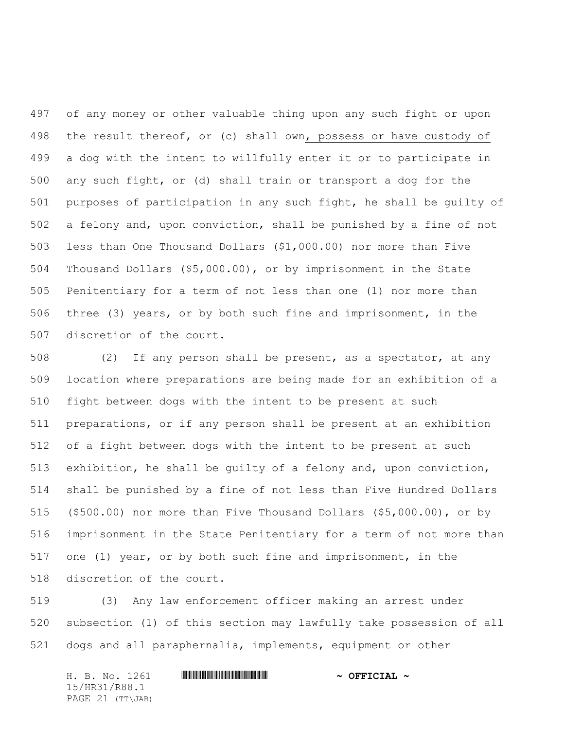of any money or other valuable thing upon any such fight or upon the result thereof, or (c) shall own, possess or have custody of a dog with the intent to willfully enter it or to participate in any such fight, or (d) shall train or transport a dog for the purposes of participation in any such fight, he shall be guilty of a felony and, upon conviction, shall be punished by a fine of not less than One Thousand Dollars (\$1,000.00) nor more than Five Thousand Dollars (\$5,000.00), or by imprisonment in the State Penitentiary for a term of not less than one (1) nor more than three (3) years, or by both such fine and imprisonment, in the discretion of the court.

508 (2) If any person shall be present, as a spectator, at any location where preparations are being made for an exhibition of a fight between dogs with the intent to be present at such preparations, or if any person shall be present at an exhibition of a fight between dogs with the intent to be present at such exhibition, he shall be guilty of a felony and, upon conviction, shall be punished by a fine of not less than Five Hundred Dollars (\$500.00) nor more than Five Thousand Dollars (\$5,000.00), or by imprisonment in the State Penitentiary for a term of not more than one (1) year, or by both such fine and imprisonment, in the discretion of the court.

519 (3) Any law enforcement officer making an arrest under subsection (1) of this section may lawfully take possession of all dogs and all paraphernalia, implements, equipment or other

| H. B. No. 1261   | $\sim$ OFFICIAL $\sim$ |
|------------------|------------------------|
| 15/HR31/R88.1    |                        |
| PAGE 21 (TT\JAB) |                        |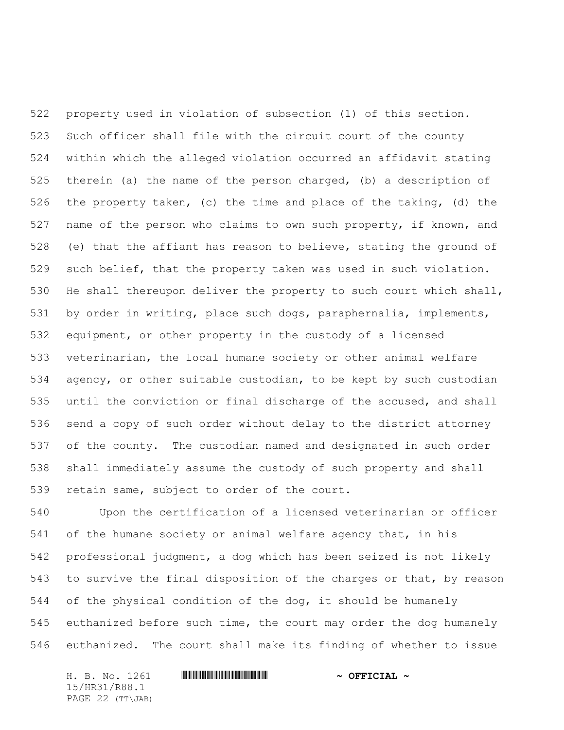property used in violation of subsection (1) of this section. Such officer shall file with the circuit court of the county within which the alleged violation occurred an affidavit stating therein (a) the name of the person charged, (b) a description of the property taken, (c) the time and place of the taking, (d) the name of the person who claims to own such property, if known, and (e) that the affiant has reason to believe, stating the ground of such belief, that the property taken was used in such violation. 530 He shall thereupon deliver the property to such court which shall, by order in writing, place such dogs, paraphernalia, implements, equipment, or other property in the custody of a licensed veterinarian, the local humane society or other animal welfare agency, or other suitable custodian, to be kept by such custodian until the conviction or final discharge of the accused, and shall send a copy of such order without delay to the district attorney of the county. The custodian named and designated in such order shall immediately assume the custody of such property and shall retain same, subject to order of the court.

540 Upon the certification of a licensed veterinarian or officer of the humane society or animal welfare agency that, in his professional judgment, a dog which has been seized is not likely to survive the final disposition of the charges or that, by reason of the physical condition of the dog, it should be humanely euthanized before such time, the court may order the dog humanely euthanized. The court shall make its finding of whether to issue

H. B. No. 1261 **HRANGE READER AND A OFFICIAL ~** 15/HR31/R88.1 PAGE 22 (TT\JAB)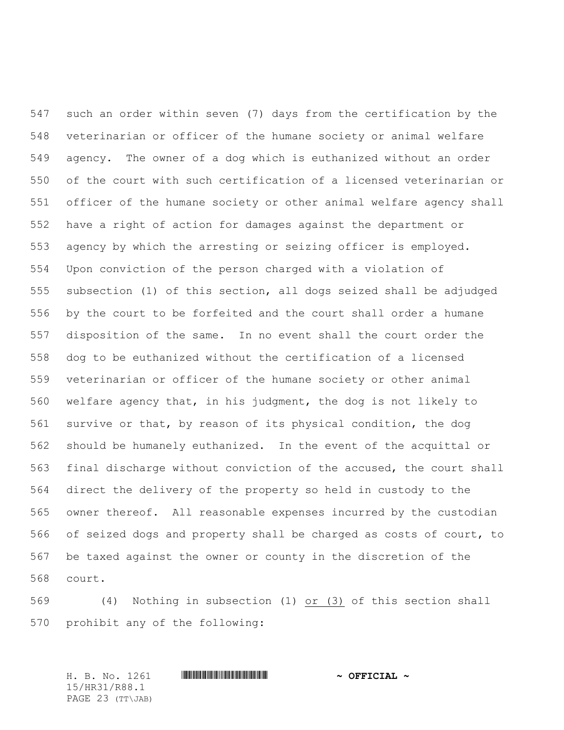such an order within seven (7) days from the certification by the veterinarian or officer of the humane society or animal welfare agency. The owner of a dog which is euthanized without an order of the court with such certification of a licensed veterinarian or officer of the humane society or other animal welfare agency shall have a right of action for damages against the department or agency by which the arresting or seizing officer is employed. Upon conviction of the person charged with a violation of subsection (1) of this section, all dogs seized shall be adjudged by the court to be forfeited and the court shall order a humane disposition of the same. In no event shall the court order the dog to be euthanized without the certification of a licensed veterinarian or officer of the humane society or other animal welfare agency that, in his judgment, the dog is not likely to survive or that, by reason of its physical condition, the dog should be humanely euthanized. In the event of the acquittal or final discharge without conviction of the accused, the court shall direct the delivery of the property so held in custody to the owner thereof. All reasonable expenses incurred by the custodian of seized dogs and property shall be charged as costs of court, to be taxed against the owner or county in the discretion of the court.

569 (4) Nothing in subsection (1) or (3) of this section shall prohibit any of the following:

H. B. No. 1261 \*HR31/R88.1\* **~ OFFICIAL ~** 15/HR31/R88.1 PAGE 23 (TT\JAB)